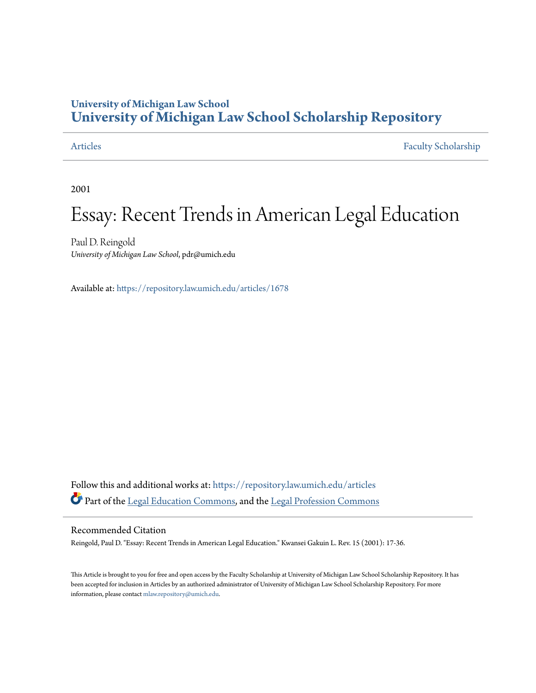## **University of Michigan Law School [University of Michigan Law School Scholarship Repository](https://repository.law.umich.edu?utm_source=repository.law.umich.edu%2Farticles%2F1678&utm_medium=PDF&utm_campaign=PDFCoverPages)**

[Articles](https://repository.law.umich.edu/articles?utm_source=repository.law.umich.edu%2Farticles%2F1678&utm_medium=PDF&utm_campaign=PDFCoverPages) [Faculty Scholarship](https://repository.law.umich.edu/faculty_scholarship?utm_source=repository.law.umich.edu%2Farticles%2F1678&utm_medium=PDF&utm_campaign=PDFCoverPages)

2001

# Essay: Recent Trends in American Legal Education

Paul D. Reingold *University of Michigan Law School*, pdr@umich.edu

Available at: <https://repository.law.umich.edu/articles/1678>

Follow this and additional works at: [https://repository.law.umich.edu/articles](https://repository.law.umich.edu/articles?utm_source=repository.law.umich.edu%2Farticles%2F1678&utm_medium=PDF&utm_campaign=PDFCoverPages) Part of the [Legal Education Commons,](http://network.bepress.com/hgg/discipline/857?utm_source=repository.law.umich.edu%2Farticles%2F1678&utm_medium=PDF&utm_campaign=PDFCoverPages) and the [Legal Profession Commons](http://network.bepress.com/hgg/discipline/1075?utm_source=repository.law.umich.edu%2Farticles%2F1678&utm_medium=PDF&utm_campaign=PDFCoverPages)

### Recommended Citation

Reingold, Paul D. "Essay: Recent Trends in American Legal Education." Kwansei Gakuin L. Rev. 15 (2001): 17-36.

This Article is brought to you for free and open access by the Faculty Scholarship at University of Michigan Law School Scholarship Repository. It has been accepted for inclusion in Articles by an authorized administrator of University of Michigan Law School Scholarship Repository. For more information, please contact [mlaw.repository@umich.edu.](mailto:mlaw.repository@umich.edu)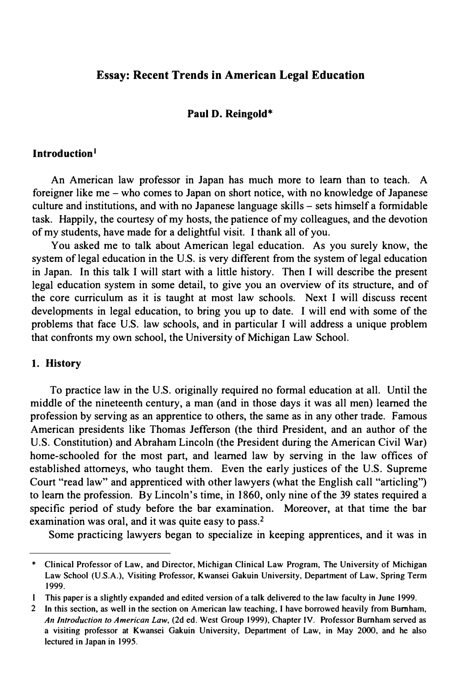#### Essay: Recent Trends in American Legal Education

#### Paul D. Reingold\*

#### Introduction 1

An American law professor in Japan has much more to learn than to teach. A foreigner like me - who comes to Japan on short notice, with no knowledge of Japanese culture and institutions, and with no Japanese language skills - sets himself a formidable task. Happily, the courtesy of my hosts, the patience of my colleagues, and the devotion of my students, have made for a delightful visit. I thank all of you.

You asked me to talk about American legal education. As you surely know, the system of legal education in the U.S. is very different from the system of legal education in Japan. In this talk I will start with a little history. Then I will describe the present legal education system in some detail, to give you an overview of its structure, and of the core curriculum as it is taught at most law schools. Next I will discuss recent developments in legal education, to bring you up to date. I will end with some of the problems that face U.S. law schools, and in particular I will address a unique problem that confronts my own school, the University of Michigan Law School.

#### 1. History

To practice law in the U.S. originally required no formal education at all. Until the middle of the nineteenth century, a man (and in those days it was all men) learned the profession by serving as an apprentice to others, the same as in any other trade. Famous American presidents like Thomas Jefferson (the third President, and an author of the U.S. Constitution) and Abraham Lincoln (the President during the American Civil War) home-schooled for the most part, and learned law by serving in the law offices of established attorneys, who taught them. Even the early justices of the U.S. Supreme Court "read law" and apprenticed with other lawyers (what the English call "articling") to learn the profession. By Lincoln's time, in 1 860, only nine of the 39 states required a specific period of study before the bar examination. Moreover, at that time the bar examination was oral, and it was quite easy to pass.<sup>2</sup>

Some practicing lawyers began to specialize in keeping apprentices, and it was in

<sup>\*</sup> Clinical Professor of Law, and Director, Michigan Clinical Law Program, The University of Michigan Law School (U.S.A.), Visiting Professor, Kwansei Gakuin University, Department of Law, Spring Term 1999.

This paper is a slightly expanded and edited version of a talk delivered to the law faculty in June 1999.

<sup>2</sup> In this section, as well in the section on American law teaching, I have borrowed heavily from Burnham, An Introduction to American Law, (2d ed. West Group 1999), Chapter IV. Professor Burnham served as a visiting professor at Kwansei Gakuin University, Department of Law, in May 2000, and he also lectured in Japan in 1995.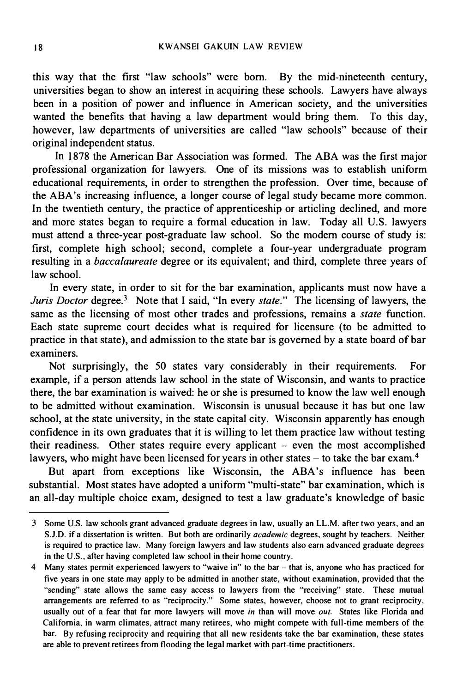this way that the first "law schools" were born. By the mid-nineteenth century, universities began to show an interest in acquiring these schools. Lawyers have always been in a position of power and influence in American society, and the universities wanted the benefits that having a law department would bring them. To this day, however, law departments of universities are called "law schools" because of their original independent status.

In 1878 the American Bar Association was formed. The ABA was the first major professional organization for lawyers. One of its missions was to establish uniform educational requirements, in order to strengthen the profession. Over time, because of the ABA's increasing influence, a longer course of legal study became more common. In the twentieth century, the practice of apprenticeship or articling declined, and more and more states began to require a formal education in law. Today all U.S. lawyers must attend a three-year post-graduate law school. So the modern course of study is: first, complete high school; second, complete a four-year undergraduate program resulting in a baccalaureate degree or its equivalent; and third, complete three years of law school.

In every state, in order to sit for the bar examination, applicants must now have a Juris Doctor degree.<sup>3</sup> Note that I said, "In every state." The licensing of lawyers, the same as the licensing of most other trades and professions, remains a *state* function. Each state supreme court decides what is required for licensure (to be admitted to practice in that state), and admission to the state bar is governed by a state board of bar examiners.

Not surprisingly, the 50 states vary considerably in their requirements. For example, if a person attends law school in the state of Wisconsin, and wants to practice there, the bar examination is waived: he or she is presumed to know the law well enough to be admitted without examination. Wisconsin is unusual because it has but one law school, at the state university, in the state capital city. Wisconsin apparently has enough confidence in its own graduates that it is willing to let them practice law without testing their readiness. Other states require every applicant - even the most accomplished lawyers, who might have been licensed for years in other states  $-$  to take the bar exam.<sup>4</sup>

But apart from exceptions like Wisconsin, the ABA's influence has been substantial. Most states have adopted a uniform "multi-state" bar examination, which is an all-day multiple choice exam, designed to test a law graduate's knowledge of basic

<sup>3</sup> Some U.S. law schools grant advanced graduate degrees in law, usually an LL.M. after two years, and an S.J.D. if a dissertation is written. But both are ordinarily *academic* degrees, sought by teachers. Neither is required to practice law. Many foreign lawyers and law students also earn advanced graduate degrees in the U.S., after having completed law school in their home country.

<sup>4</sup> Many states permit experienced lawyers to "waive in" to the bar - that is, anyone who has practiced for five years in one state may apply to be admitted in another state, without examination, provided that the "sending" state allows the same easy access to lawyers from the "receiving" state. These mutual arrangements are referred to as "reciprocity." Some states, however, choose not to grant reciprocity, usually out of a fear that far more lawyers will move in than will move out. States like Florida and California, in warm climates, attract many retirees, who might compete with full-time members of the bar. By refusing reciprocity and requiring that all new residents take the bar examination, these states are able to prevent retirees from flooding the legal market with part-time practitioners.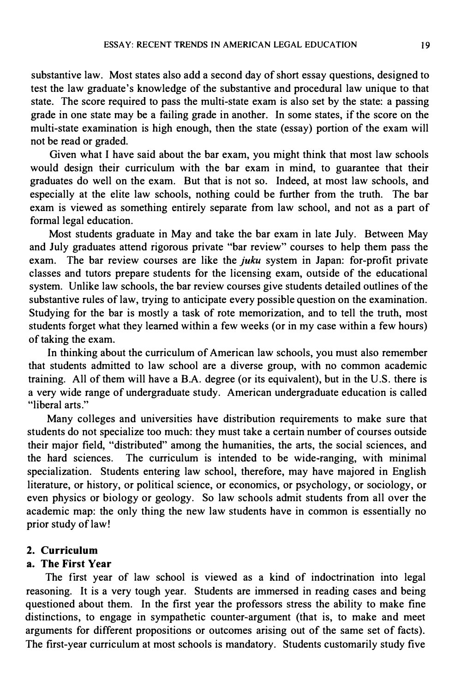substantive law. Most states also add a second day of short essay questions, designed to test the law graduate's knowledge of the substantive and procedural law unique to that state. The score required to pass the multi-state exam is also set by the state: a passing grade in one state may be a failing grade in another. In some states, if the score on the multi-state examination is high enough, then the state (essay) portion of the exam will not be read or graded.

Given what I have said about the bar exam, you might think that most law schools would design their curriculum with the bar exam in mind, to guarantee that their graduates do well on the exam. But that is not so. Indeed, at most law schools, and especially at the elite law schools, nothing could be further from the truth. The bar exam is viewed as something entirely separate from law school, and not as a part of formal legal education.

Most students graduate in May and take the bar exam in late July. Between May and July graduates attend rigorous private "bar review" courses to help them pass the exam. The bar review courses are like the *juku* system in Japan: for-profit private classes and tutors prepare students for the licensing exam, outside of the educational system. Unlike law schools, the bar review courses give students detailed outlines of the substantive rules of law, trying to anticipate every possible question on the examination. Studying for the bar is mostly a task of rote memorization, and to tell the truth, most students forget what they learned within a few weeks (or in my case within a few hours) of taking the exam.

In thinking about the curriculum of American law schools, you must also remember that students admitted to law school are a diverse group, with no common academic training. All of them will have a B.A. degree (or its equivalent), but in the U.S. there is a very wide range of undergraduate study. American undergraduate education is called "liberal arts."

Many colleges and universities have distribution requirements to make sure that students do not specialize too much: they must take a certain number of courses outside their major field, "distributed" among the humanities, the arts, the social sciences, and the hard sciences. The curriculum is intended to be wide-ranging, with minimal specialization. Students entering law school, therefore, may have majored in English literature, or history, or political science, or economics, or psychology, or sociology, or even physics or biology or geology. So law schools admit students from all over the academic map: the only thing the new law students have in common is essentially no prior study of law!

#### 2. Curriculum

#### a. The First Year

The first year of law school is viewed as a kind of indoctrination into legal reasoning. It is a very tough year. Students are immersed in reading cases and being questioned about them. In the first year the professors stress the ability to make fine distinctions, to engage in sympathetic counter-argument (that is, to make and meet arguments for different propositions or outcomes arising out of the same set of facts). The first-year curriculum at most schools is mandatory. Students customarily study five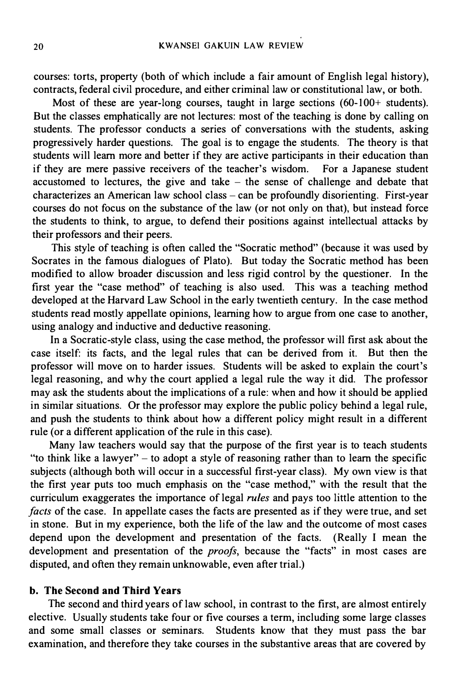courses: torts, property (both of which include a fair amount of English legal history), contracts, federal civil procedure, and either criminal law or constitutional law, or both.

Most of these are year-long courses, taught in large sections  $(60-100+)$  students). But the classes emphatically are not lectures: most of the teaching is done by calling on students. The professor conducts a series of conversations with the students, asking progressively harder questions. The goal is to engage the students. The theory is that students will learn more and better if they are active participants in their education than if they are mere passive receivers of the teacher's wisdom. For a Japanese student accustomed to lectures, the give and take  $-$  the sense of challenge and debate that characterizes an American law school class - can be profoundly disorienting. First-year courses do not focus on the substance of the law (or not only on that), but instead force the students to think, to argue, to defend their positions against intellectual attacks by their professors and their peers.

This style of teaching is often called the "Socratic method" (because it was used by Socrates in the famous dialogues of Plato). But today the Socratic method has been modified to allow broader discussion and less rigid control by the questioner. In the first year the "case method" of teaching is also used. This was a teaching method developed at the Harvard Law School in the early twentieth century. In the case method students read mostly appellate opinions, learning how to argue from one case to another, using analogy and inductive and deductive reasoning.

In a Socratic-style class, using the case method, the professor will first ask about the case itself: its facts, and the legal rules that can be derived from it. But then the professor will move on to harder issues. Students will be asked to explain the court's legal reasoning, and why the court applied a legal rule the way it did. The professor may ask the students about the implications of a rule: when and how it should be applied in similar situations. Or the professor may explore the public policy behind a legal rule, and push the students to think about how a different policy might result in a different rule (or a different application of the rule in this case).

Many law teachers would say that the purpose of the first year is to teach students "to think like a lawyer"  $-$  to adopt a style of reasoning rather than to learn the specific subjects (although both will occur in a successful first-year class). My own view is that the first year puts too much emphasis on the "case method," with the result that the curriculum exaggerates the importance of legal rules and pays too little attention to the facts of the case. In appellate cases the facts are presented as if they were true, and set in stone. But in my experience, both the life of the law and the outcome of most cases depend upon the development and presentation of the facts. (Really I mean the development and presentation of the *proofs*, because the "facts" in most cases are disputed, and often they remain unknowable, even after trial.)

#### b. The Second and Third Years

The second and third years of law school, in contrast to the first, are almost entirely elective. Usually students take four or five courses a term, including some large classes and some small classes or seminars. Students know that they must pass the bar examination, and therefore they take courses in the substantive areas that are covered by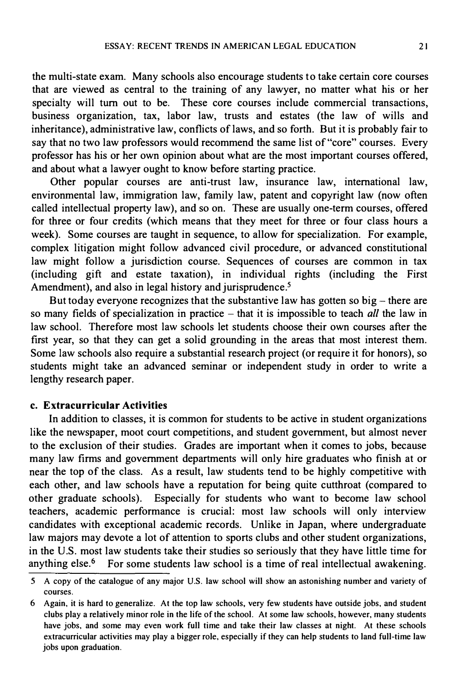the multi-state exam. Many schools also encourage students to take certain core courses that are viewed as central to the training of any lawyer, no matter what his or her specialty will turn out to be. These core courses include commercial transactions, business organization, tax, labor law, trusts and estates (the law of wills and inheritance), administrative law, conflicts of laws, and so forth. But it is probably fair to say that no two law professors would recommend the same list of "core" courses. Every professor has his or her own opinion about what are the most important courses offered, and about what a lawyer ought to know before starting practice.

Other popular courses are anti-trust law, insurance law, international law, environmental law, immigration law, family law, patent and copyright law (now often called intellectual property law), and so on. These are usually one-term courses, offered for three or four credits (which means that they meet for three or four class hours a week). Some courses are taught in sequence, to allow for specialization. For example, complex litigation might follow advanced civil procedure, or advanced constitutional law might follow a jurisdiction course. Sequences of courses are common in tax (including gift and estate taxation), in individual rights (including the First Amendment), and also in legal history and jurisprudence.<sup>5</sup>

But today everyone recognizes that the substantive law has gotten so  $big$  – there are so many fields of specialization in practice  $-$  that it is impossible to teach *all* the law in law school. Therefore most law schools let students choose their own courses after the first year, so that they can get a solid grounding in the areas that most interest them. Some law schools also require a substantial research project (or require it for honors), so students might take an advanced seminar or independent study in order to write a lengthy research paper.

#### c. Extracurricular Activities

In addition to classes, it is common for students to be active in student organizations like the newspaper, moot court competitions, and student government, but almost never to the exclusion of their studies. Grades are important when it comes to jobs, because many law firms and government departments will only hire graduates who finish at or near the top of the class. As a result, law students tend to be highly competitive with each other, and law schools have a reputation for being quite cutthroat (compared to other graduate schools). Especially for students who want to become law school teachers, academic performance is crucial: most law schools will only interview candidates with exceptional academic records. Unlike in Japan, where undergraduate law majors may devote a lot of attention to sports clubs and other student organizations, in the U.S. most law students take their studies so seriously that they have little time for anything  $else.$ <sup>6</sup> For some students law school is a time of real intellectual awakening.

<sup>5</sup> A copy of the catalogue of any major U.S. law school will show an astonishing number and variety of courses.

<sup>6</sup> Again, it is hard to generalize. At the top law schools, very few students have outside jobs, and student clubs play a relatively minor role in the life of the school. At some law schools, however, many students have jobs, and some may even work full time and take their law classes at night. At these schools extracurricular activities may play a bigger role, especially if they can help students to land full-time law jobs upon graduation.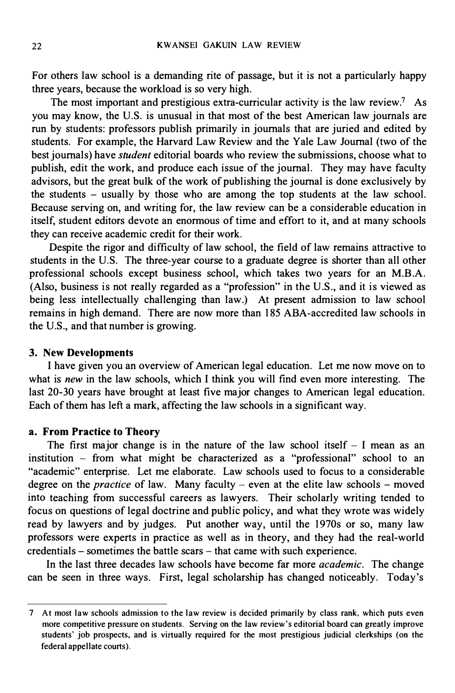For others law school is a demanding rite of passage, but it is not a particularly happy three years, because the workload is so very high.

The most important and prestigious extra-curricular activity is the law review.<sup>7</sup> As you may know, the U.S. is unusual in that most of the best American law journals are run by students: professors publish primarily in journals that are juried and edited by students. For example, the Harvard Law Review and the Yale Law Journal (two of the best journals) have *student* editorial boards who review the submissions, choose what to publish, edit the work, and produce each issue of the journal. They may have faculty advisors, but the great bulk of the work of publishing the journal is done exclusively by the students - usually by those who are among the top students at the law school. Because serving on, and writing for, the law review can be a considerable education in itself, student editors devote an enormous of time and effort to it, and at many schools they can receive academic credit for their work.

Despite the rigor and difficulty of law school, the field of law remains attractive to students in the U.S. The three-year course to a graduate degree is shorter than all other professional schools except business school, which takes two years for an M.B.A. (Also, business is not really regarded as a "profession" in the U.S., and it is viewed as being less intellectually challenging than law.) At present admission to law school remains in high demand. There are now more than 185 ABA-accredited law schools in the U.S., and that number is growing.

#### 3. New Developments

I have given you an overview of American legal education. Let me now move on to what is new in the law schools, which I think you will find even more interesting. The last 20-30 years have brought at least five major changes to American legal education. Each of them has left a mark, affecting the law schools in a significant way.

#### a. From Practice to Theory

The first major change is in the nature of the law school itself  $-1$  mean as an institution - from what might be characterized as a "professional" school to an "academic" enterprise. Let me elaborate. Law schools used to focus to a considerable degree on the *practice* of law. Many faculty - even at the elite law schools - moved into teaching from successful careers as lawyers. Their scholarly writing tended to focus on questions of legal doctrine and public policy, and what they wrote was widely read by lawyers and by judges. Put another way, until the 1970s or so, many law professors were experts in practice as well as in theory, and they had the real-world credentials - sometimes the battle scars - that came with such experience.

In the last three decades law schools have become far more *academic*. The change can be seen in three ways. First, legal scholarship has changed noticeably. Today's

<sup>7</sup> At most law schools admission to the law review is decided primarily by class rank. which puts even more competitive pressure on students. Serving on the law review's editorial board can greatly improve students' job prospects, and is virtually required for the most prestigious judicial clerkships (on the federal appellate courts).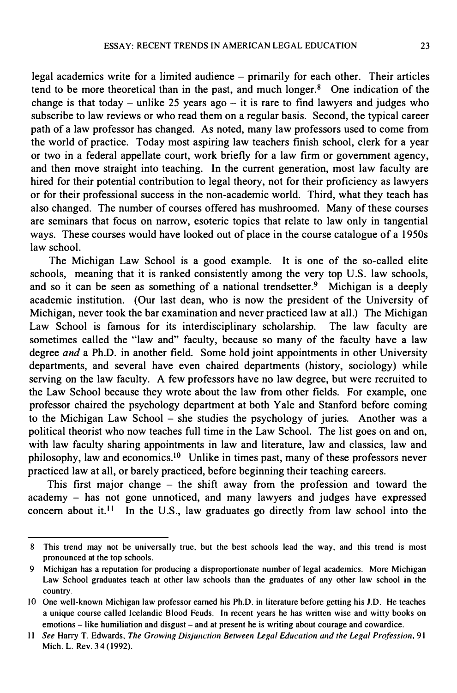legal academics write for a limited audience - primarily for each other. Their articles tend to be more theoretical than in the past, and much longer. 8 One indication of the change is that today – unlike 25 years ago – it is rare to find lawyers and judges who subscribe to law reviews or who read them on a regular basis. Second, the typical career path of a law professor has changed. As noted, many law professors used to come from the world of practice. Today most aspiring law teachers finish school, clerk for a year or two in a federal appellate court, work briefly for a law firm or government agency, and then move straight into teaching. In the current generation, most law faculty are hired for their potential contribution to legal theory, not for their proficiency as lawyers or for their professional success in the non-academic world. Third, what they teach has also changed. The number of courses offered has mushroomed. Many of these courses are seminars that focus on narrow, esoteric topics that relate to law only in tangential ways. These courses would have looked out of place in the course catalogue of a 1 950s law school.

The Michigan Law School is a good example. It is one of the so-called elite schools, meaning that it is ranked consistently among the very top U.S. law schools, and so it can be seen as something of a national trendsetter.<sup>9</sup> Michigan is a deeply academic institution. (Our last dean, who is now the president of the University of Michigan, never took the bar examination and never practiced law at all.) The Michigan Law School is famous for its interdisciplinary scholarship. The law faculty are sometimes called the "law and" faculty, because so many of the faculty have a law degree and a Ph.D. in another field. Some hold joint appointments in other University departments, and several have even chaired departments (history, sociology) while serving on the law faculty. A few professors have no law degree, but were recruited to the Law School because they wrote about the law from other fields. For example, one professor chaired the psychology department at both Yale and Stanford before coming to the Michigan Law School - she studies the psychology of juries. Another was a political theorist who now teaches full time in the Law School. The list goes on and on, with law faculty sharing appointments in law and literature, law and classics, law and philosophy, law and economics.10 Unlike in times past, many of these professors never practiced law at all, or barely practiced, before beginning their teaching careers.

This first major change  $-$  the shift away from the profession and toward the academy - has not gone unnoticed, and many lawyers and judges have expressed concern about it.<sup>11</sup> In the U.S., law graduates go directly from law school into the

<sup>8</sup> This trend may not be universally true, but the best schools lead the way, and this trend is most pronounced at the top schools.

<sup>9</sup> Michigan has a reputation for producing a disproportionate number of legal academics. More Michigan Law School graduates teach at other law schools than the graduates of any other law school in the country.

<sup>10</sup> One well-known Michigan law professor earned his Ph.D. in literature before getting his J.D. He teaches a unique course called Icelandic Blood Feuds. In recent years he has written wise and witty books on emotions - like humiliation and disgust- and at present he is writing about courage and cowardice.

II See Harry T. Edwards, The Growing Disjunction Between Legal Education and the Legal Profession, 91 Mich. L. Rev. 34 ( 1992).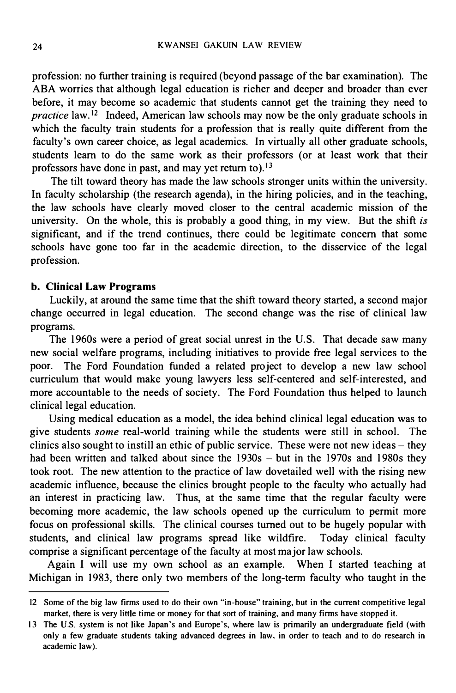profession: no further training is required (beyond passage of the bar examination). The ABA worries that although legal education is richer and deeper and broader than ever before, it may become so academic that students cannot get the training they need to practice law.<sup>12</sup> Indeed, American law schools may now be the only graduate schools in which the faculty train students for a profession that is really quite different from the faculty's own career choice, as legal academics. In virtually all other graduate schools, students learn to do the same work as their professors (or at least work that their professors have done in past, and may yet return to).<sup>13</sup>

The tilt toward theory has made the law schools stronger units within the university. In faculty scholarship (the research agenda), in the hiring policies, and in the teaching, the law schools have clearly moved closer to the central academic mission of the university. On the whole, this is probably a good thing, in my view. But the shift is significant, and if the trend continues, there could be legitimate concern that some schools have gone too far in the academic direction, to the disservice of the legal profession.

#### b. Clinical Law Programs

Luckily, at around the same time that the shift toward theory started, a second major change occurred in legal education. The second change was the rise of clinical law programs.

The 1960s were a period of great social unrest in the U.S. That decade saw many new social welfare programs, including initiatives to provide free legal services to the poor. The Ford Foundation funded a related project to develop a new law school curriculum that would make young lawyers less self-centered and self-interested, and more accountable to the needs of society. The Ford Foundation thus helped to launch clinical legal education.

Using medical education as a model, the idea behind clinical legal education was to give students some real-world training while the students were still in school. The clinics also sought to instill an ethic of public service. These were not new ideas  $-$  they had been written and talked about since the 1930s - but in the 1970s and 1980s they took root. The new attention to the practice of law dovetailed well with the rising new academic influence, because the clinics brought people to the faculty who actually had an interest in practicing law. Thus, at the same time that the regular faculty were becoming more academic, the law schools opened up the curriculum to permit more focus on professional skills. The clinical courses turned out to be hugely popular with students, and clinical law programs spread like wildfire. Today clinical faculty comprise a significant percentage of the faculty at most major law schools.

Again I will use my own school as an example. When I started teaching at Michigan in 1983, there only two members of the long-term faculty who taught in the

<sup>12</sup> Some of the big law firms used to do their own "in-house" training, but in the current competitive legal market, there is very little time or money for that sort of training, and many firms have stopped it.

<sup>13</sup> The U.S. system is not like Japan's and Europe's, where law is primarily an undergraduate field (with only a few graduate students taking advanced degrees in law, in order to teach and to do research in academic law).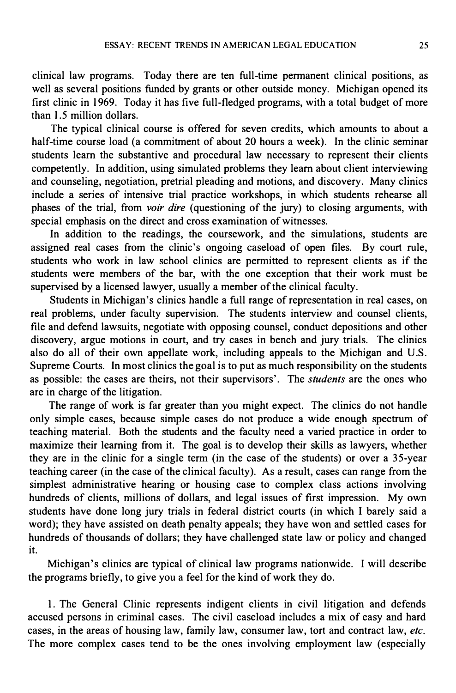clinical law programs. Today there are ten full-time permanent clinical positions, as well as several positions funded by grants or other outside money. Michigan opened its first clinic in 1969. Today it has five full-fledged programs, with a total budget of more than 1 .5 million dollars.

The typical clinical course is offered for seven credits, which amounts to about a half-time course load (a commitment of about 20 hours a week). In the clinic seminar students learn the substantive and procedural law necessary to represent their clients competently. In addition, using simulated problems they learn about client interviewing and counseling, negotiation, pretrial pleading and motions, and discovery. Many clinics include a series of intensive trial practice workshops, in which students rehearse all phases of the trial, from *voir dire* (questioning of the jury) to closing arguments, with special emphasis on the direct and cross examination of witnesses.

In addition to the readings, the coursework, and the simulations, students are assigned real cases from the clinic's ongoing caseload of open files. By court rule, students who work in law school clinics are permitted to represent clients as if the students were members of the bar, with the one exception that their work must be supervised by a licensed lawyer, usually a member of the clinical faculty.

Students in Michigan's clinics handle a full range of representation in real cases, on real problems, under faculty supervision. The students interview and counsel clients, file and defend lawsuits, negotiate with opposing counsel, conduct depositions and other discovery, argue motions in court, and try cases in bench and jury trials. The clinics also do all of their own appellate work, including appeals to the Michigan and U.S. Supreme Courts. In most clinics the goal is to put as much responsibility on the students as possible: the cases are theirs, not their supervisors'. The students are the ones who are in charge of the litigation.

The range of work is far greater than you might expect. The clinics do not handle only simple cases, because simple cases do not produce a wide enough spectrum of teaching material. Both the students and the faculty need a varied practice in order to maximize their learning from it. The goal is to develop their skills as lawyers, whether they are in the clinic for a single term (in the case of the students) or over a 35-year teaching career (in the case of the clinical faculty). As a result, cases can range from the simplest administrative hearing or housing case to complex class actions involving hundreds of clients, millions of dollars, and legal issues of first impression. My own students have done long jury trials in federal district courts (in which I barely said a word); they have assisted on death penalty appeals; they have won and settled cases for hundreds of thousands of dollars; they have challenged state law or policy and changed it.

Michigan's clinics are typical of clinical law programs nationwide. I will describe the programs briefly, to give you a feel for the kind of work they do.

I. The General Clinic represents indigent clients in civil litigation and defends accused persons in criminal cases. The civil caseload includes a mix of easy and hard cases, in the areas of housing law, family law, consumer law, tort and contract law, etc. The more complex cases tend to be the ones involving employment law (especially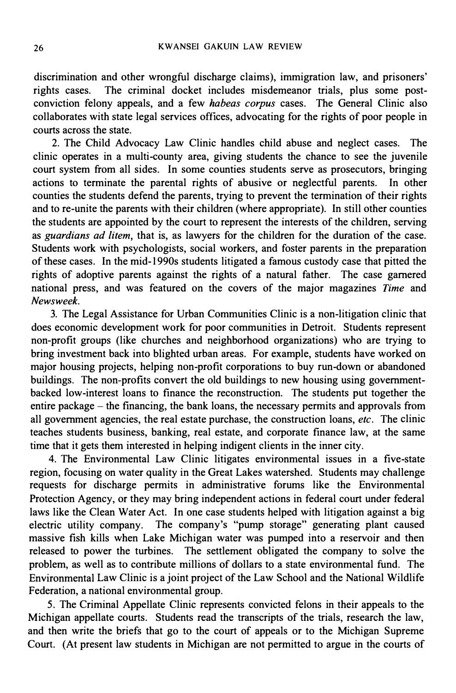discrimination and other wrongful discharge claims), immigration law, and prisoners' rights cases. The criminal docket includes misdemeanor trials, plus some postconviction felony appeals, and a few habeas corpus cases. The General Clinic also collaborates with state legal services offices, advocating for the rights of poor people in courts across the state.

2. The Child Advocacy Law Clinic handles child abuse and neglect cases. The clinic operates in a multi-county area, giving students the chance to see the juvenile court system from all sides. In some counties students serve as prosecutors, bringing actions to terminate the parental rights of abusive or neglectful parents. In other counties the students defend the parents, trying to prevent the termination of their rights and to re-unite the parents with their children (where appropriate). In still other counties the students are appointed by the court to represent the interests of the children, serving as guardians ad litem, that is, as lawyers for the children for the duration of the case. Students work with psychologists, social workers, and foster parents in the preparation of these cases. In the mid- 1990s students litigated a famous custody case that pitted the rights of adoptive parents against the rights of a natural father. The case garnered national press, and was featured on the covers of the major magazines Time and Newsweek.

3. The Legal Assistance for Urban Communities Clinic is a non-litigation clinic that does economic development work for poor communities in Detroit. Students represent non-profit groups (like churches and neighborhood organizations) who are trying to bring investment back into blighted urban areas. For example, students have worked on major housing projects, helping non-profit corporations to buy run-down or abandoned buildings. The non-profits convert the old buildings to new housing using governmentbacked low-interest loans to finance the reconstruction. The students put together the entire package – the financing, the bank loans, the necessary permits and approvals from all government agencies, the real estate purchase, the construction loans, etc. The clinic teaches students business, banking, real estate, and corporate finance law, at the same time that it gets them interested in helping indigent clients in the inner city.

4. The Environmental Law Clinic litigates environmental issues in a five-state region, focusing on water quality in the Great Lakes watershed. Students may challenge requests for discharge permits in administrative forums like the Environmental Protection Agency, or they may bring independent actions in federal court under federal laws like the Clean Water Act. In one case students helped with litigation against a big electric utility company. The company's "pump storage" generating plant caused massive fish kills when Lake Michigan water was pumped into a reservoir and then released to power the turbines. The settlement obligated the company to solve the problem, as well as to contribute millions of dollars to a state environmental fund. The Environmental Law Clinic is a joint project of the Law School and the National Wildlife Federation, a national environmental group.

5. The Criminal Appellate Clinic represents convicted felons in their appeals to the Michigan appellate courts. Students read the transcripts of the trials, research the law, and then write the briefs that go to the court of appeals or to the Michigan Supreme Court. (At present law students in Michigan are not permitted to argue in the courts of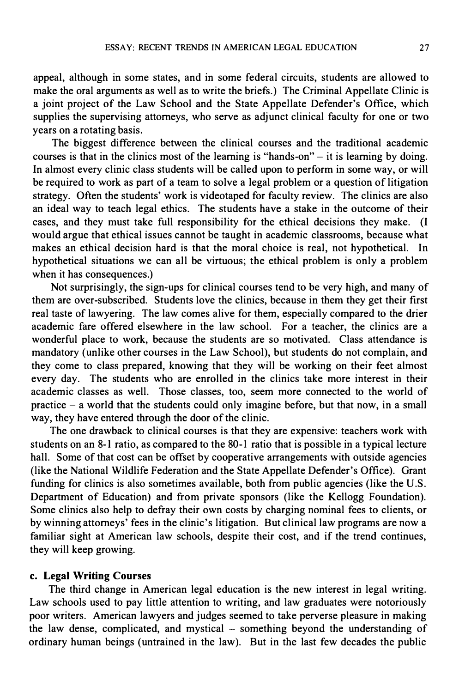appeal, although in some states, and in some federal circuits, students are allowed to make the oral arguments as well as to write the briefs.) The Criminal Appellate Clinic is a joint project of the Law School and the State Appellate Defender's Office, which supplies the supervising attorneys, who serve as adjunct clinical faculty for one or two years on a rotating basis.

The biggest difference between the clinical courses and the traditional academic courses is that in the clinics most of the learning is "hands-on"  $-$  it is learning by doing. In almost every clinic class students will be called upon to perform in some way, or will be required to work as part of a team to solve a legal problem or a question of litigation strategy. Often the students' work is videotaped for faculty review. The clinics are also an ideal way to teach legal ethics. The students have a stake in the outcome of their cases, and they must take full responsibility for the ethical decisions they make. {I would argue that ethical issues cannot be taught in academic classrooms, because what makes an ethical decision hard is that the moral choice is real, not hypothetical. In hypothetical situations we can all be virtuous; the ethical problem is only a problem when it has consequences.)

Not surprisingly, the sign-ups for clinical courses tend to be very high, and many of them are over-subscribed. Students love the clinics, because in them they get their first real taste of lawyering. The law comes alive for them, especially compared to the drier academic fare offered elsewhere in the law school. For a teacher, the clinics are a wonderful place to work, because the students are so motivated. Class attendance is mandatory (unlike other courses in the Law School), but students do not complain, and they come to class prepared, knowing that they will be working on their feet almost every day. The students who are enrolled in the clinics take more interest in their academic classes as well. Those classes, too, seem more connected to the world of practice - a world that the students could only imagine before, but that now, in a small way, they have entered through the door of the clinic.

The one drawback to clinical courses is that they are expensive: teachers work with students on an 8-1 ratio, as compared to the 80-1 ratio that is possible in a typical lecture hall. Some of that cost can be offset by cooperative arrangements with outside agencies (like the National Wildlife Federation and the State Appellate Defender's Office). Grant funding for clinics is also sometimes available, both from public agencies (like the U.S. Department of Education) and from private sponsors (like the Kellogg Foundation). Some clinics also help to defray their own costs by charging nominal fees to clients, or by winning attorneys' fees in the clinic's litigation. But clinical law programs are now a familiar sight at American law schools, despite their cost, and if the trend continues, they will keep growing.

#### c. Legal Writing Courses

The third change in American legal education is the new interest in legal writing. Law schools used to pay little attention to writing, and law graduates were notoriously poor writers. American lawyers and judges seemed to take perverse pleasure in making the law dense, complicated, and mystical – something beyond the understanding of ordinary human beings (untrained in the law). But in the last few decades the public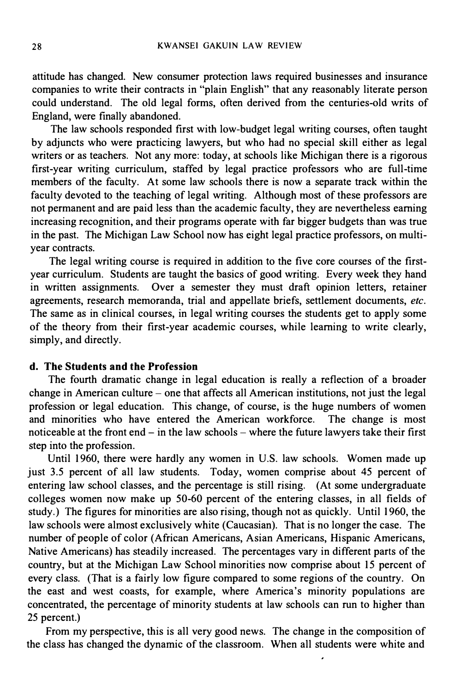attitude has changed. New consumer protection laws required businesses and insurance companies to write their contracts in "plain English" that any reasonably literate person could understand. The old legal forms, often derived from the centuries-old writs of England, were finally abandoned.

The law schools responded first with low-budget legal writing courses, often taught by adjuncts who were practicing lawyers, but who had no special skill either as legal writers or as teachers. Not any more: today, at schools like Michigan there is a rigorous first-year writing curriculum, staffed by legal practice professors who are full-time members of the faculty. At some law schools there is now a separate track within the faculty devoted to the teaching of legal writing. Although most of these professors are not permanent and are paid less than the academic faculty, they are nevertheless earning increasing recognition, and their programs operate with far bigger budgets than was true in the past. The Michigan Law School now has eight legal practice professors, on multiyear contracts.

The legal writing course is required in addition to the five core courses of the firstyear curriculum. Students are taught the basics of good writing. Every week they hand in written assignments. Over a semester they must draft opinion letters, retainer agreements, research memoranda, trial and appellate briefs, settlement documents, etc. The same as in clinical courses, in legal writing courses the students get to apply some of the theory from their first-year academic courses, while learning to write clearly, simply, and directly.

#### d. The Students and the Profession

The fourth dramatic change in legal education is really a reflection of a broader change in American culture - one that affects all American institutions, not just the legal profession or legal education. This change, of course, is the huge numbers of women and minorities who have entered the American workforce. The change is most noticeable at the front end  $-$  in the law schools  $-$  where the future lawyers take their first step into the profession.

Until 1960, there were hardly any women in U.S. law schools. Women made up just 3.5 percent of all law students. Today, women comprise about 45 percent of entering law school classes, and the percentage is still rising. (At some undergraduate colleges women now make up 50-60 percent of the entering classes, in all fields of study.) The figures for minorities are also rising, though not as quickly. Until 1 960, the law schools were almost exclusively white (Caucasian). That is no longer the case. The number of people of color (African Americans, Asian Americans, Hispanic Americans, Native Americans) has steadily increased. The percentages vary in different parts of the country, but at the Michigan Law School minorities now comprise about 15 percent of every class. (That is a fairly low figure compared to some regions of the country. On the east and west coasts, for example, where America's minority populations are concentrated, the percentage of minority students at law schools can run to higher than 25 percent.)

From my perspective, this is all very good news. The change in the composition of the class has changed the dynamic of the classroom. When all students were white and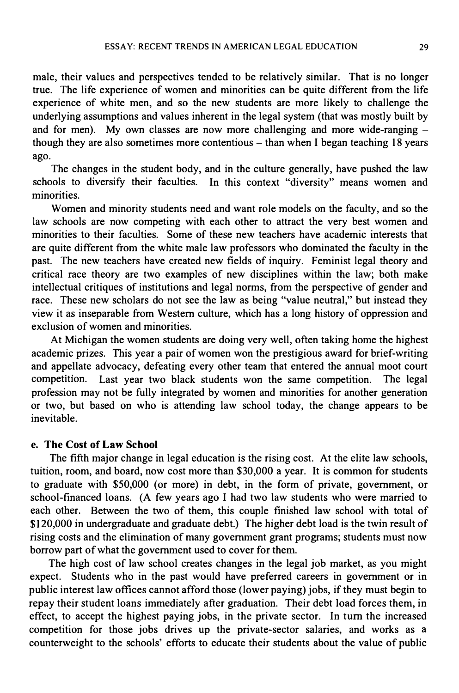male, their values and perspectives tended to be relatively similar. That is no longer true. The life experience of women and minorities can be quite different from the life experience of white men, and so the new students are more likely to challenge the underlying assumptions and values inherent in the legal system (that was mostly built by and for men). My own classes are now more challenging and more wide-ranging  $$ though they are also sometimes more contentious - than when I began teaching 18 years ago.

The changes in the student body, and in the culture generally, have pushed the law schools to diversify their faculties. In this context "diversity" means women and minorities.

Women and minority students need and want role models on the faculty, and so the law schools are now competing with each other to attract the very best women and minorities to their faculties. Some of these new teachers have academic interests that are quite different from the white male law professors who dominated the faculty in the past. The new teachers have created new fields of inquiry. Feminist legal theory and critical race theory are two examples of new disciplines within the law; both make intellectual critiques of institutions and legal norms, from the perspective of gender and race. These new scholars do not see the law as being "value neutral," but instead they view it as inseparable from Western culture, which has a long history of oppression and exclusion of women and minorities.

At Michigan the women students are doing very well, often taking home the highest academic prizes. This year a pair of women won the prestigious award for brief-writing and appellate advocacy, defeating every other team that entered the annual moot court competition. Last year two black students won the same competition. The legal profession may not be fully integrated by women and minorities for another generation or two, but based on who is attending law school today, the change appears to be inevitable.

#### e. The Cost of Law School

The fifth major change in legal education is the rising cost. At the elite law schools, tuition, room, and board, now cost more than \$30,000 a year. It is common for students to graduate with \$50,000 (or more) in debt, in the form of private, government, or school-financed loans. (A few years ago I had two law students who were married to each other. Between the two of them, this couple finished law school with total of \$1 20,000 in undergraduate and graduate debt.) The higher debt load is the twin result of rising costs and the elimination of many government grant programs; students must now borrow part of what the government used to cover for them.

The high cost of law school creates changes in the legal job market, as you might expect. Students who in the past would have preferred careers in government or in public interest law offices cannot afford those (lower paying) jobs, if they must begin to repay their student loans immediately after graduation. Their debt load forces them, in effect, to accept the highest paying jobs, in the private sector. In tum the increased competition for those jobs drives up the private-sector salaries, and works as a counterweight to the schools' efforts to educate their students about the value of public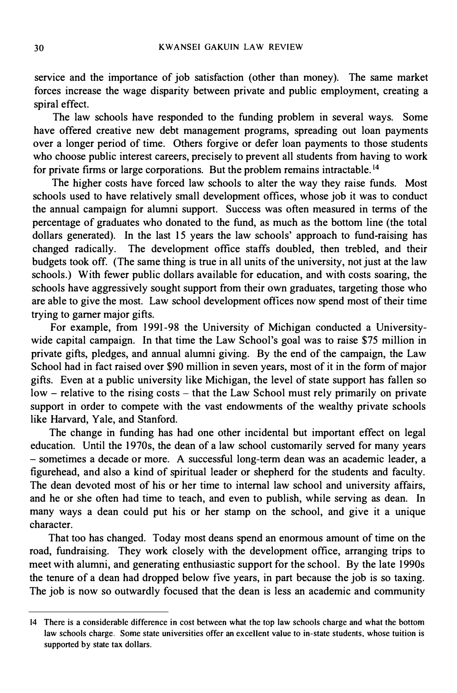service and the importance of job satisfaction (other than money). The same market forces increase the wage disparity between private and public employment, creating a spiral effect.

The law schools have responded to the funding problem in several ways. Some have offered creative new debt management programs, spreading out loan payments over a longer period of time. Others forgive or defer loan payments to those students who choose public interest careers, precisely to prevent all students from having to work for private firms or large corporations. But the problem remains intractable. <sup>14</sup>

The higher costs have forced law schools to alter the way they raise funds. Most schools used to have relatively small development offices, whose job it was to conduct the annual campaign for alumni support. Success was often measured in terms of the percentage of graduates who donated to the fund, as much as the bottom line (the total dollars generated). In the last 15 years the law schools' approach to fund-raising has changed radically. The development office staffs doubled, then trebled, and their budgets took off. (The same thing is true in all units of the university, not just at the law schools.) With fewer public dollars available for education, and with costs soaring, the schools have aggressively sought support from their own graduates, targeting those who are able to give the most. Law school development offices now spend most of their time trying to garner major gifts.

For example, from 1991-98 the University of Michigan conducted a Universitywide capital campaign. In that time the Law School's goal was to raise \$75 million in private gifts, pledges, and annual alumni giving. By the end of the campaign, the Law School had in fact raised over \$90 million in seven years, most of it in the form of major gifts. Even at a public university like Michigan, the level of state support has fallen so  $low$  – relative to the rising costs – that the Law School must rely primarily on private support in order to compete with the vast endowments of the wealthy private schools like Harvard, Yale, and Stanford.

The change in funding has had one other incidental but important effect on legal education. Until the 1970s, the dean of a law school customarily served for many years -sometimes a decade or more. A successful long-term dean was an academic leader, a figurehead, and also a kind of spiritual leader or shepherd for the students and faculty. The dean devoted most of his or her time to internal law school and university affairs, and he or she often had time to teach, and even to publish, while serving as dean. In many ways a dean could put his or her stamp on the school, and give it a unique character.

That too has changed. Today most deans spend an enormous amount of time on the road, fundraising. They work closely with the development office, arranging trips to meet with alumni, and generating enthusiastic support for the school. By the late 1990s the tenure of a dean had dropped below five years, in part because the job is so taxing. The job is now so outwardly focused that the dean is less an academic and community

<sup>14</sup> There is a considerable difference in cost between what the top law schools charge and what the bottom law schools charge. Some state universities offer an excellent value to in-state students, whose tuition is supported by state tax dollars.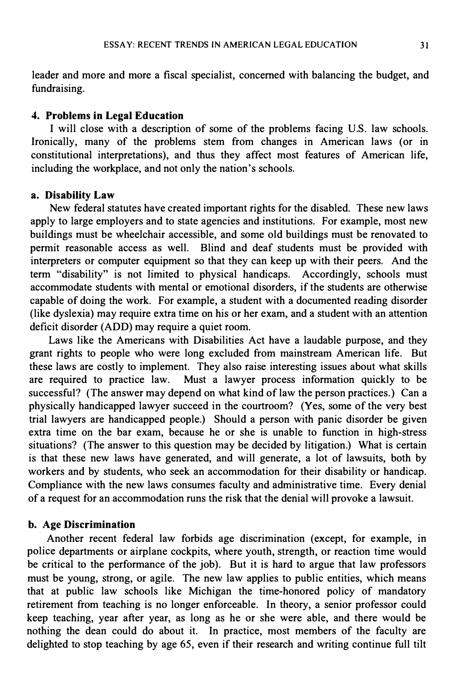leader and more and more a fiscal specialist, concerned with balancing the budget, and fundraising.

#### 4. Problems in Legal Education

I will close with a description of some of the problems facing U.S. law schools. Ironically, many of the problems stem from changes in American laws (or in constitutional interpretations), and thus they affect most features of American life, including the workplace, and not only the nation's schools.

#### a. Disability Law

New federal statutes have created important rights for the disabled. These new laws apply to large employers and to state agencies and institutions. For example, most new buildings must be wheelchair accessible, and some old buildings must be renovated to permit reasonable access as well. Blind and deaf students must be provided with interpreters or computer equipment so that they can keep up with their peers. And the term "disability" is not limited to physical handicaps. Accordingly, schools must accommodate students with mental or emotional disorders, if the students are otherwise capable of doing the work. For example, a student with a documented reading disorder (like dyslexia) may require extra time on his or her exam, and a student with an attention deficit disorder (ADD) may require a quiet room.

Laws like the Americans with Disabilities Act have a laudable purpose, and they grant rights to people who were long excluded from mainstream American life. But these laws are costly to implement. They also raise interesting issues about what skills are required to practice law. Must a lawyer process information quickly to be successful? (The answer may depend on what kind of law the person practices.) Can a physically handicapped lawyer succeed in the courtroom? (Yes, some of the very best trial lawyers are handicapped people.) Should a person with panic disorder be given extra time on the bar exam, because he or she is unable to function in high-stress situations? (The answer to this question may be decided by litigation.) What is certain is that these new laws have generated, and will generate, a lot of lawsuits, both by workers and by students, who seek an accommodation for their disability or handicap. Compliance with the new laws consumes faculty and administrative time. Every denial of a request for an accommodation runs the risk that the denial will provoke a lawsuit.

#### b. Age Discrimination

Another recent federal law forbids age discrimination (except, for example, in police departments or airplane cockpits, where youth, strength, or reaction time would be critical to the performance of the job). But it is hard to argue that law professors must be young, strong, or agile. The new law applies to public entities, which means that at public law schools like Michigan the time-honored policy of mandatory retirement from teaching is no longer enforceable. In theory, a senior professor could keep teaching, year after year, as long as he or she were able, and there would be nothing the dean could do about it. In practice, most members of the faculty are delighted to stop teaching by age 65, even if their research and writing continue full tilt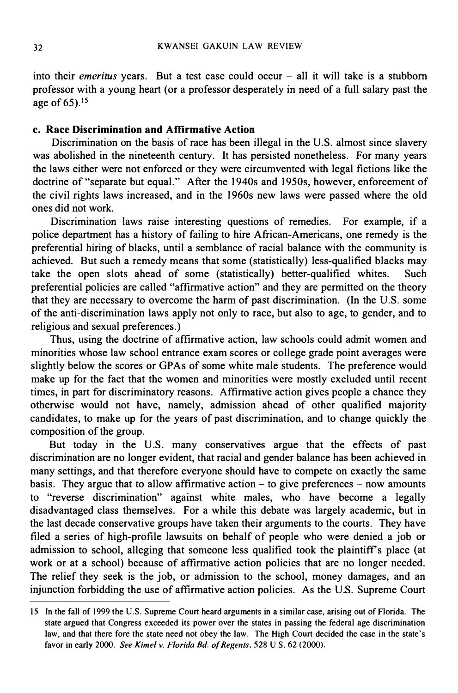into their *emeritus* years. But a test case could occur  $-$  all it will take is a stubborn professor with a young heart (or a professor desperately in need of a full salary past the age of 65).15

#### c. Race Discrimination and Affirmative Action

Discrimination on the basis of race has been illegal in the U.S. almost since slavery was abolished in the nineteenth century. It has persisted nonetheless. For many years the laws either were not enforced or they were circumvented with legal fictions like the doctrine of "separate but equal." After the 1940s and 1950s, however, enforcement of the civil rights laws increased, and in the 1960s new laws were passed where the old ones did not work.

Discrimination laws raise interesting questions of remedies. For example, if a police department has a history of failing to hire African-Americans, one remedy is the preferential hiring of blacks, until a semblance of racial balance with the community is achieved. But such a remedy means that some (statistically) less-qualified blacks may take the open slots ahead of some (statistically) better-qualified whites. Such preferential policies are called "affirmative action" and they are permitted on the theory that they are necessary to overcome the harm of past discrimination. (In the U.S. some of the anti-discrimination laws apply not only to race, but also to age, to gender, and to religious and sexual preferences.)

Thus, using the doctrine of affirmative action, law schools could admit women and minorities whose law school entrance exam scores or college grade point averages were slightly below the scores or GPAs of some white male students. The preference would make up for the fact that the women and minorities were mostly excluded until recent times, in part for discriminatory reasons. Affirmative action gives people a chance they otherwise would not have, namely, admission ahead of other qualified majority candidates, to make up for the years of past discrimination, and to change quickly the composition of the group.

But today in the U.S. many conservatives argue that the effects of past discrimination are no longer evident, that racial and gender balance has been achieved in many settings, and that therefore everyone should have to compete on exactly the same basis. They argue that to allow affirmative action  $-$  to give preferences  $-$  now amounts to "reverse discrimination" against white males, who have become a legally disadvantaged class themselves. For a while this debate was largely academic, but in the last decade conservative groups have taken their arguments to the courts. They have filed a series of high-profile lawsuits on behalf of people who were denied a job or admission to school, alleging that someone less qualified took the plaintiff's place (at work or at a school) because of affirmative action policies that are no longer needed. The relief they seek is the job, or admission to the school, money damages, and an injunction forbidding the use of affirmative action policies. As the U.S. Supreme Court

IS In the fall of 1 999 the U.S. Supreme Court heard arguments in a similar case, arising out of Florida. The state argued that Congress exceeded its power over the states in passing the federal age discrimination law, and that there fore the state need not obey the law. The High Court decided the case in the state's favor in early 2000. See Kimel v. Florida Bd. of Regents, 528 U.S. 62 (2000).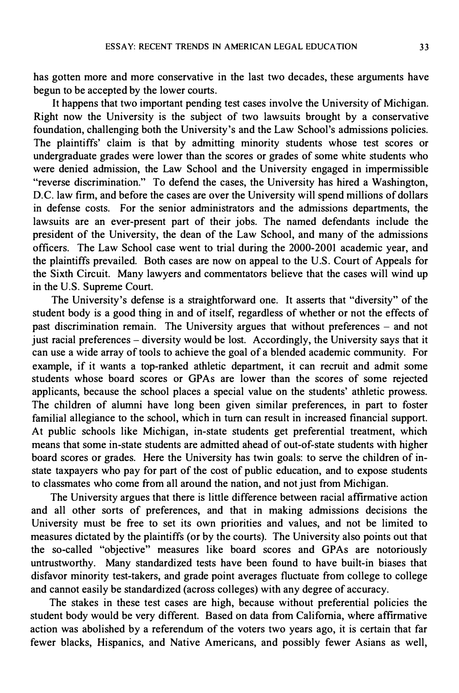has gotten more and more conservative in the last two decades, these arguments have begun to be accepted by the lower courts.

It happens that two important pending test cases involve the University of Michigan. Right now the University is the subject of two lawsuits brought by a conservative foundation, challenging both the University's and the Law School's admissions policies. The plaintiffs' claim is that by admitting minority students whose test scores or undergraduate grades were lower than the scores or grades of some white students who were denied admission, the Law School and the University engaged in impermissible "reverse discrimination." To defend the cases, the University has hired a Washington, D.C. law firm, and before the cases are over the University will spend millions of dollars in defense costs. For the senior administrators and the admissions departments, the lawsuits are an ever-present part of their jobs. The named defendants include the president of the University, the dean of the Law School, and many of the admissions officers. The Law School case went to trial during the 2000-2001 academic year, and the plaintiffs prevailed. Both cases are now on appeal to the U.S. Court of Appeals for the Sixth Circuit. Many lawyers and commentators believe that the cases will wind up in the U.S. Supreme Court.

The University's defense is a straightforward one. It asserts that "diversity" of the student body is a good thing in and of itself, regardless of whether or not the effects of past discrimination remain. The University argues that without preferences  $-$  and not  $\frac{1}{x}$  iust racial preferences – diversity would be lost. Accordingly, the University says that it can use a wide array of tools to achieve the goal of a blended academic community. For example, if it wants a top-ranked athletic department, it can recruit and admit some students whose board scores or GPAs are lower than the scores of some rejected applicants, because the school places a special value on the students' athletic prowess. The children of alumni have long been given similar preferences, in part to foster familial allegiance to the school, which in turn can result in increased financial support. At public schools like Michigan, in-state students get preferential treatment, which means that some in-state students are admitted ahead of out-of-state students with higher board scores or grades. Here the University has twin goals: to serve the children of instate taxpayers who pay for part of the cost of public education, and to expose students to classmates who come from all around the nation, and not just from Michigan.

The University argues that there is little difference between racial affirmative action and all other sorts of preferences, and that in making admissions decisions the University must be free to set its own priorities and values, and not be limited to measures dictated by the plaintiffs (or by the courts). The University also points out that the so-called "objective" measures like board scores and GPAs are notoriously untrustworthy. Many standardized tests have been found to have built-in biases that disfavor minority test-takers, and grade point averages fluctuate from college to college and cannot easily be standardized (across colleges) with any degree of accuracy.

The stakes in these test cases are high, because without preferential policies the student body would be very different. Based on data from California, where affirmative action was abolished by a referendum of the voters two years ago, it is certain that far fewer blacks, Hispanics, and Native Americans, and possibly fewer Asians as well,